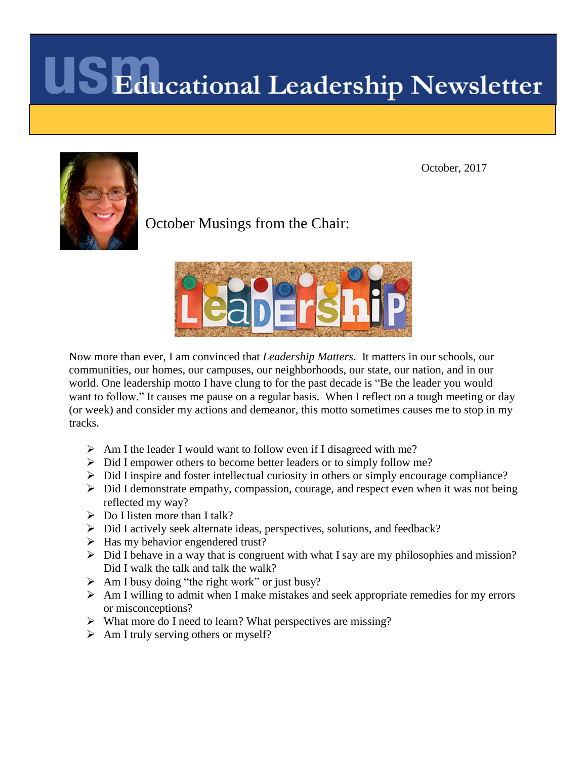October, 2017



October Musings from the Chair:



Now more than ever, I am convinced that *Leadership Matters*. It matters in our schools, our communities, our homes, our campuses, our neighborhoods, our state, our nation, and in our world. One leadership motto I have clung to for the past decade is "Be the leader you would want to follow." It causes me pause on a regular basis. When I reflect on a tough meeting or day (or week) and consider my actions and demeanor, this motto sometimes causes me to stop in my tracks.

- $\triangleright$  Am I the leader I would want to follow even if I disagreed with me?
- $\triangleright$  Did I empower others to become better leaders or to simply follow me?
- $\triangleright$  Did I inspire and foster intellectual curiosity in others or simply encourage compliance?
- $\triangleright$  Did I demonstrate empathy, compassion, courage, and respect even when it was not being reflected my way?
- $\triangleright$  Do I listen more than I talk?
- Did I actively seek alternate ideas, perspectives, solutions, and feedback?
- $\triangleright$  Has my behavior engendered trust?
- $\triangleright$  Did I behave in a way that is congruent with what I say are my philosophies and mission? Did I walk the talk and talk the walk?
- $\triangleright$  Am I busy doing "the right work" or just busy?
- $\triangleright$  Am I willing to admit when I make mistakes and seek appropriate remedies for my errors or misconceptions?
- $\triangleright$  What more do I need to learn? What perspectives are missing?
- $\triangleright$  Am I truly serving others or myself?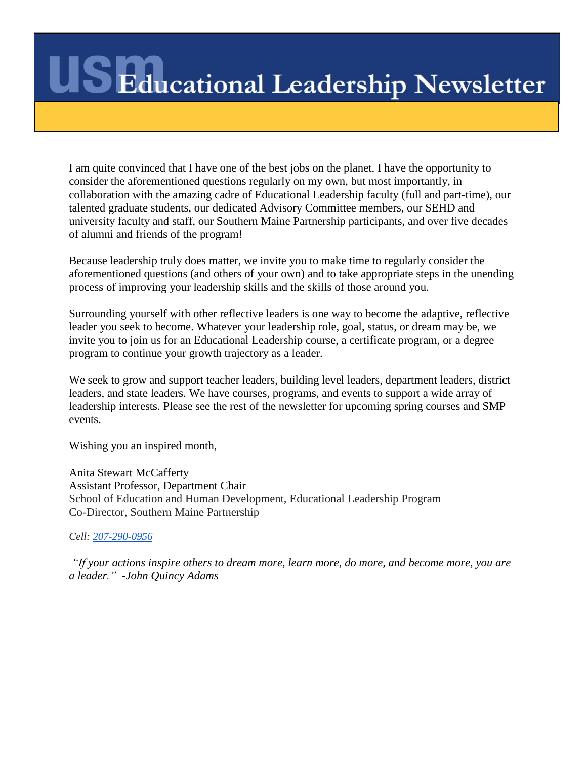I am quite convinced that I have one of the best jobs on the planet. I have the opportunity to consider the aforementioned questions regularly on my own, but most importantly, in collaboration with the amazing cadre of Educational Leadership faculty (full and part-time), our talented graduate students, our dedicated Advisory Committee members, our SEHD and university faculty and staff, our Southern Maine Partnership participants, and over five decades of alumni and friends of the program!

Because leadership truly does matter, we invite you to make time to regularly consider the aforementioned questions (and others of your own) and to take appropriate steps in the unending process of improving your leadership skills and the skills of those around you.

Surrounding yourself with other reflective leaders is one way to become the adaptive, reflective leader you seek to become. Whatever your leadership role, goal, status, or dream may be, we invite you to join us for an Educational Leadership course, a certificate program, or a degree program to continue your growth trajectory as a leader.

We seek to grow and support teacher leaders, building level leaders, department leaders, district leaders, and state leaders. We have courses, programs, and events to support a wide array of leadership interests. Please see the rest of the newsletter for upcoming spring courses and SMP events.

Wishing you an inspired month,

Anita Stewart McCafferty Assistant Professor, Department Chair School of Education and Human Development, Educational Leadership Program Co-Director, Southern Maine Partnership

*Cell: [207-290-0956](tel:(207)%20290-0956)*

*"If your actions inspire others to dream more, learn more, do more, and become more, you are a leader." -John Quincy Adams*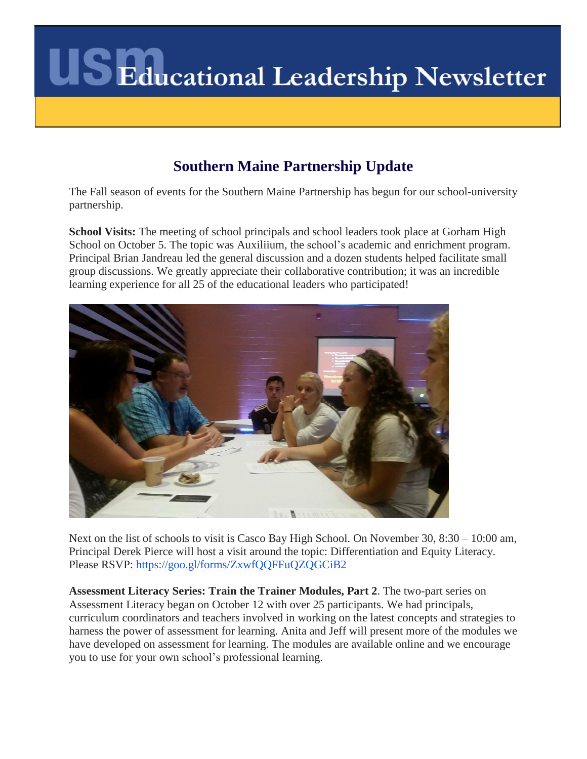

### **Southern Maine Partnership Update**

The Fall season of events for the Southern Maine Partnership has begun for our school-university partnership.

**School Visits:** The meeting of school principals and school leaders took place at Gorham High School on October 5. The topic was Auxiliium, the school's academic and enrichment program. Principal Brian Jandreau led the general discussion and a dozen students helped facilitate small group discussions. We greatly appreciate their collaborative contribution; it was an incredible learning experience for all 25 of the educational leaders who participated!



Next on the list of schools to visit is Casco Bay High School. On November 30, 8:30 – 10:00 am, Principal Derek Pierce will host a visit around the topic: Differentiation and Equity Literacy. Please RSVP: <https://goo.gl/forms/ZxwfQQFFuQZQGCiB2>

**Assessment Literacy Series: Train the Trainer Modules, Part 2**. The two-part series on Assessment Literacy began on October 12 with over 25 participants. We had principals, curriculum coordinators and teachers involved in working on the latest concepts and strategies to harness the power of assessment for learning. Anita and Jeff will present more of the modules we have developed on assessment for learning. The modules are available online and we encourage you to use for your own school's professional learning.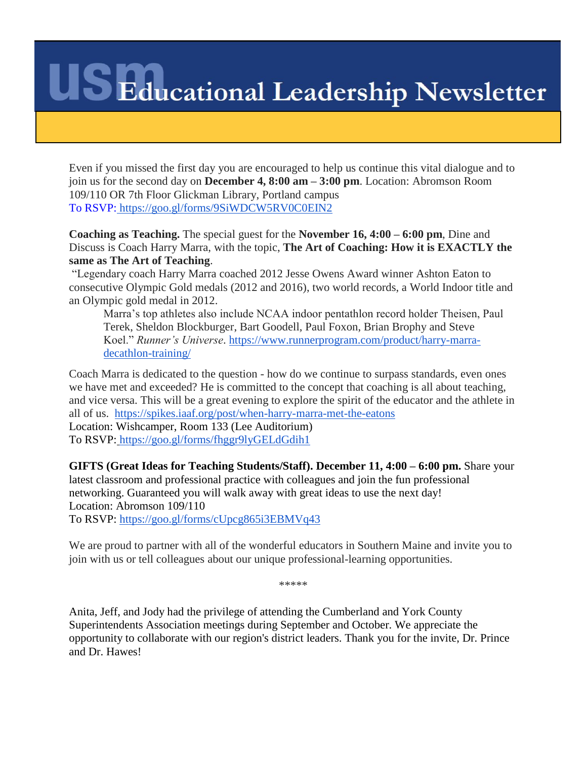Even if you missed the first day you are encouraged to help us continue this vital dialogue and to join us for the second day on **December 4, 8:00 am – 3:00 pm**. Location: Abromson Room 109/110 OR 7th Floor Glickman Library, Portland campus To RSVP: <https://goo.gl/forms/9SiWDCW5RV0C0EIN2>

**Coaching as Teaching.** The special guest for the **November 16, 4:00 – 6:00 pm**, Dine and Discuss is Coach Harry Marra, with the topic, **The Art of Coaching: How it is EXACTLY the same as The Art of Teaching**.

"Legendary coach Harry Marra coached 2012 Jesse Owens Award winner Ashton Eaton to consecutive Olympic Gold medals (2012 and 2016), two world records, a World Indoor title and an Olympic gold medal in 2012.

Marra's top athletes also include NCAA indoor pentathlon record holder Theisen, Paul Terek, Sheldon Blockburger, Bart Goodell, Paul Foxon, Brian Brophy and Steve Koel." *Runner's Universe*. [https://www.runnerprogram.com/product/harry-marra](https://www.runnerprogram.com/product/harry-marra-decathlon-training/)[decathlon-training/](https://www.runnerprogram.com/product/harry-marra-decathlon-training/)

Coach Marra is dedicated to the question - how do we continue to surpass standards, even ones we have met and exceeded? He is committed to the concept that coaching is all about teaching, and vice versa. This will be a great evening to explore the spirit of the educator and the athlete in all of us. <https://spikes.iaaf.org/post/when-harry-marra-met-the-eatons> Location: Wishcamper, Room 133 (Lee Auditorium)

To RSVP: <https://goo.gl/forms/fhggr9lyGELdGdih1>

**GIFTS (Great Ideas for Teaching Students/Staff). December 11, 4:00 – 6:00 pm.** Share your latest classroom and professional practice with colleagues and join the fun professional networking. Guaranteed you will walk away with great ideas to use the next day! Location: Abromson 109/110

To RSVP: <https://goo.gl/forms/cUpcg865i3EBMVq43>

We are proud to partner with all of the wonderful educators in Southern Maine and invite you to join with us or tell colleagues about our unique professional-learning opportunities.

\*\*\*\*\*

Anita, Jeff, and Jody had the privilege of attending the Cumberland and York County Superintendents Association meetings during September and October. We appreciate the opportunity to collaborate with our region's district leaders. Thank you for the invite, Dr. Prince and Dr. Hawes!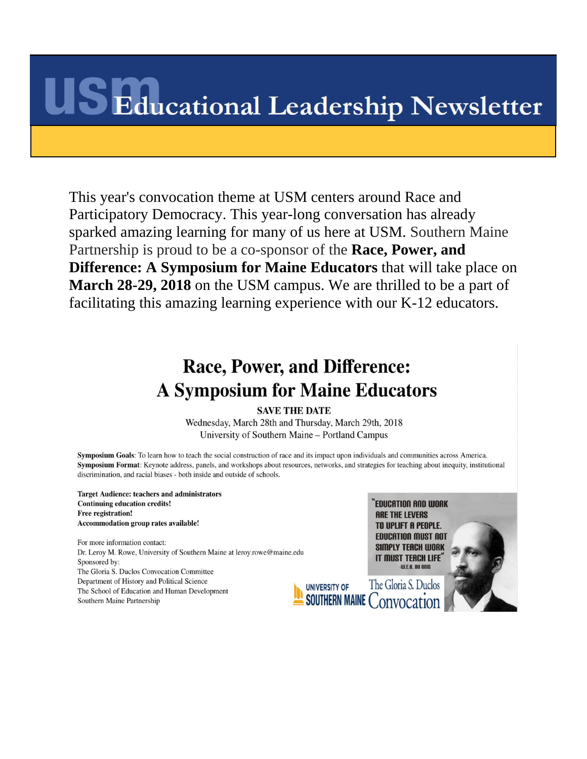This year's convocation theme at USM centers around Race and Participatory Democracy. This year-long conversation has already sparked amazing learning for many of us here at USM. Southern Maine Partnership is proud to be a co-sponsor of the **Race, Power, and Difference: A Symposium for Maine Educators** that will take place on **March 28-29, 2018** on the USM campus. We are thrilled to be a part of facilitating this amazing learning experience with our K-12 educators.

## Race, Power, and Difference: **A Symposium for Maine Educators**

#### **SAVE THE DATE**

Wednesday, March 28th and Thursday, March 29th, 2018 University of Southern Maine – Portland Campus

Symposium Goals: To learn how to teach the social construction of race and its impact upon individuals and communities across America. Symposium Format: Keynote address, panels, and workshops about resources, networks, and strategies for teaching about inequity, institutional discrimination, and racial biases - both inside and outside of schools.

**Target Audience: teachers and administrators Continuing education credits!** Free registration! Accommodation group rates available!

For more information contact: Dr. Leroy M. Rowe, University of Southern Maine at leroy.rowe@maine.edu Sponsored by: The Gloria S. Duclos Convocation Committee Department of History and Political Science The School of Education and Human Development Southern Maine Partnership

``EDUCATION AND WORK **ARE THE LEVERS** TO UPLIFT A PEOPLE. **EDUCATION MUST NOT SIMPLY TEACH WORK** IT MUST TEACH LIFE **W.E.B. DU BOIS** 

The Gloria S. Duclos UNIVERSITY OF **SOUTHERN MAINE CONVOCATION** 

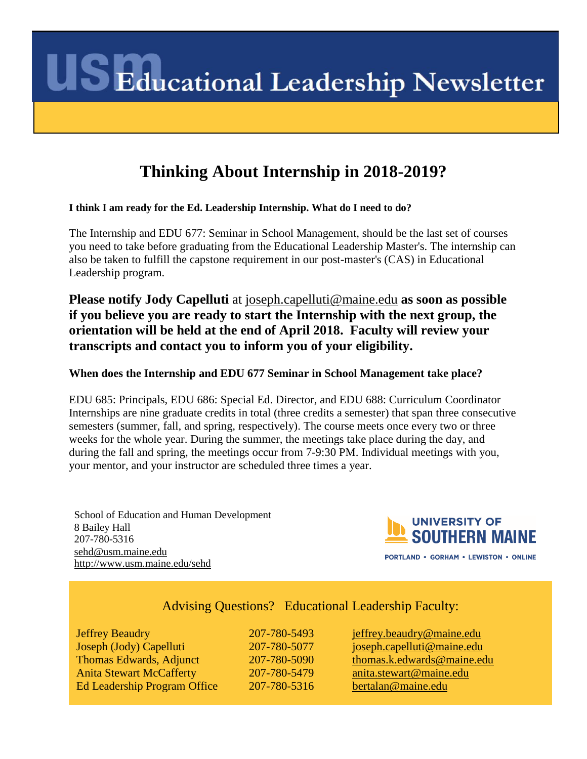## **Thinking About Internship in 2018-2019?**

**I think I am ready for the Ed. Leadership Internship. What do I need to do?**

The Internship and EDU 677: Seminar in School Management, should be the last set of courses you need to take before graduating from the Educational Leadership Master's. The internship can also be taken to fulfill the capstone requirement in our post-master's (CAS) in Educational Leadership program.

**Please notify Jody Capelluti** at [joseph.capelluti@maine.edu](mailto:joseph.capelluti@maine.edu) **as soon as possible if you believe you are ready to start the Internship with the next group, the orientation will be held at the end of April 2018. Faculty will review your transcripts and contact you to inform you of your eligibility.**

#### **When does the Internship and EDU 677 Seminar in School Management take place?**

EDU 685: Principals, EDU 686: Special Ed. Director, and EDU 688: Curriculum Coordinator Internships are nine graduate credits in total (three credits a semester) that span three consecutive semesters (summer, fall, and spring, respectively). The course meets once every two or three weeks for the whole year. During the summer, the meetings take place during the day, and during the fall and spring, the meetings occur from 7-9:30 PM. Individual meetings with you, your mentor, and your instructor are scheduled three times a year.

School of Education and Human Development 8 Bailey Hall 207-780-5316 [sehd@usm.maine.edu](mailto:sehd@usm.maine.edu) <http://www.usm.maine.edu/sehd>



PORTLAND . GORHAM . LEWISTON . ONLINE

### Advising Questions? Educational Leadership Faculty:

Jeffrey Beaudry 207-780-5493 [jeffrey.beaudry@maine.edu](mailto:jeffrey.beaudry@maine.edu) Joseph (Jody) Capelluti 207-780-5077 [joseph.capelluti@maine.edu](mailto:joseph.capelluti@maine.edu) Thomas Edwards, Adjunct 207-780-5090 [thomas.k.edwards@maine.edu](mailto:thomas.k.edwards@maine.edu) Anita Stewart McCafferty 207-780-5479 [anita.stewart@maine.edu](mailto:anita.stewart@maine.edu) Ed Leadership Program Office 207-780-5316 [bertalan@maine.edu](mailto:bertalan@maine.edu)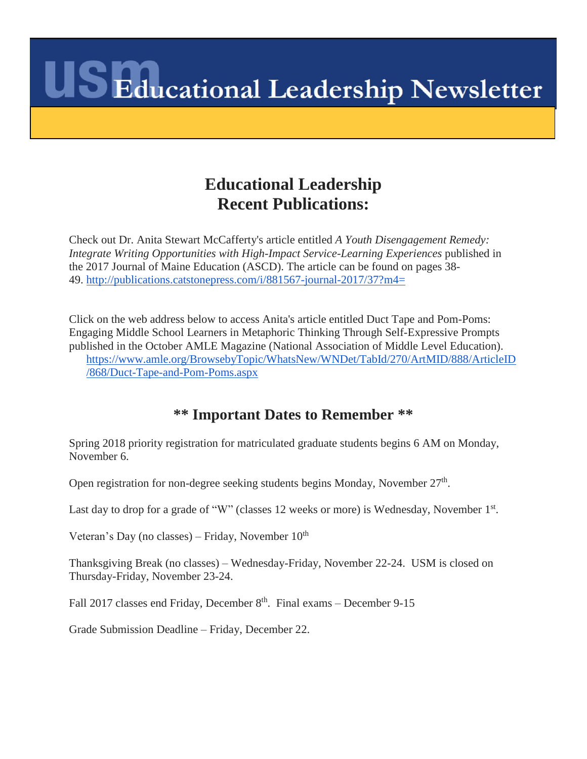## **Educational Leadership Recent Publications:**

Check out Dr. Anita Stewart McCafferty's article entitled *A Youth Disengagement Remedy: Integrate Writing Opportunities with High-Impact Service-Learning Experiences* published in the 2017 Journal of Maine Education (ASCD). The article can be found on pages 38- 49. <http://publications.catstonepress.com/i/881567-journal-2017/37?m4=>

Click on the web address below to access Anita's article entitled Duct Tape and Pom-Poms: Engaging Middle School Learners in Metaphoric Thinking Through Self-Expressive Prompts published in the October AMLE Magazine (National Association of Middle Level Education). [https://www.amle.org/BrowsebyTopic/WhatsNew/WNDet/TabId/270/ArtMID/888/ArticleID](https://www.amle.org/BrowsebyTopic/WhatsNew/WNDet/TabId/270/ArtMID/888/ArticleID/868/Duct-Tape-and-Pom-Poms.aspx) [/868/Duct-Tape-and-Pom-Poms.aspx](https://www.amle.org/BrowsebyTopic/WhatsNew/WNDet/TabId/270/ArtMID/888/ArticleID/868/Duct-Tape-and-Pom-Poms.aspx)

### **\*\* Important Dates to Remember \*\***

Spring 2018 priority registration for matriculated graduate students begins 6 AM on Monday, November 6.

Open registration for non-degree seeking students begins Monday, November 27<sup>th</sup>.

Last day to drop for a grade of "W" (classes 12 weeks or more) is Wednesday, November 1<sup>st</sup>.

Veteran's Day (no classes) – Friday, November  $10<sup>th</sup>$ 

Thanksgiving Break (no classes) – Wednesday-Friday, November 22-24. USM is closed on Thursday-Friday, November 23-24.

Fall 2017 classes end Friday, December 8<sup>th</sup>. Final exams – December 9-15

Grade Submission Deadline – Friday, December 22.